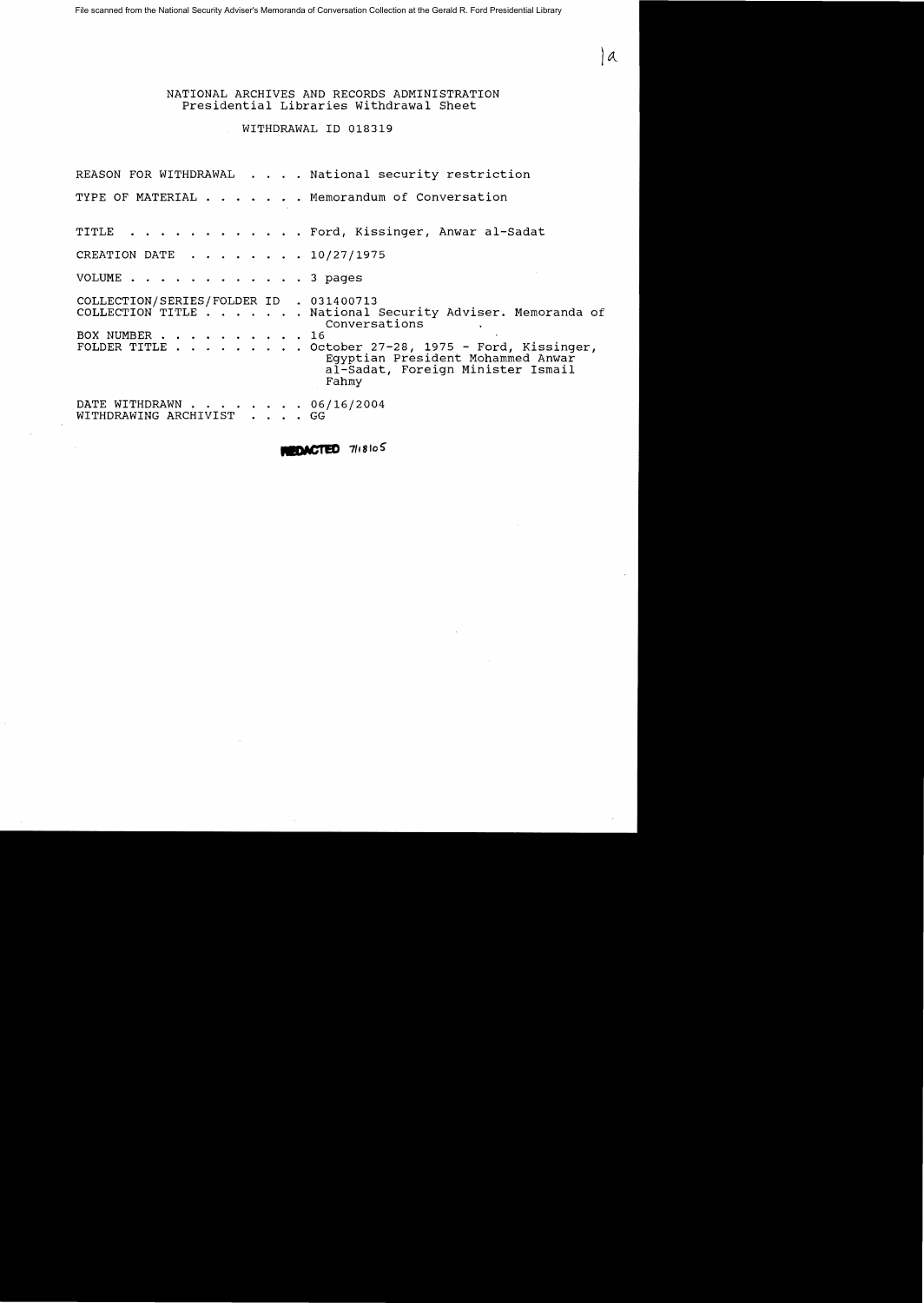NATIONAL ARCHIVES AND RECORDS ADMINISTRATION Presidential Libraries Withdrawal Sheet

WITHDRAWAL ID 018319

|                                                          | REASON FOR WITHDRAWAL National security restriction                                                                                                                                                                 |
|----------------------------------------------------------|---------------------------------------------------------------------------------------------------------------------------------------------------------------------------------------------------------------------|
|                                                          | TYPE OF MATERIAL Memorandum of Conversation                                                                                                                                                                         |
|                                                          | TITLE Ford, Kissinger, Anwar al-Sadat                                                                                                                                                                               |
| CREATION DATE 10/27/1975                                 |                                                                                                                                                                                                                     |
| VOLUME 3 pages                                           |                                                                                                                                                                                                                     |
| COLLECTION/SERIES/FOLDER ID . 031400713<br>BOX NUMBER 16 | COLLECTION TITLE National Security Adviser. Memoranda of<br>Conversations<br>FOLDER TITLE October 27-28, 1975 - Ford, Kissinger,<br>Eqyptian President Mohammed Anwar<br>al-Sadat, Foreign Minister Ismail<br>Fahmy |
| DATE WITHDRAWN 06/16/2004<br>WITHDRAWING ARCHIVIST GG    |                                                                                                                                                                                                                     |

**718105**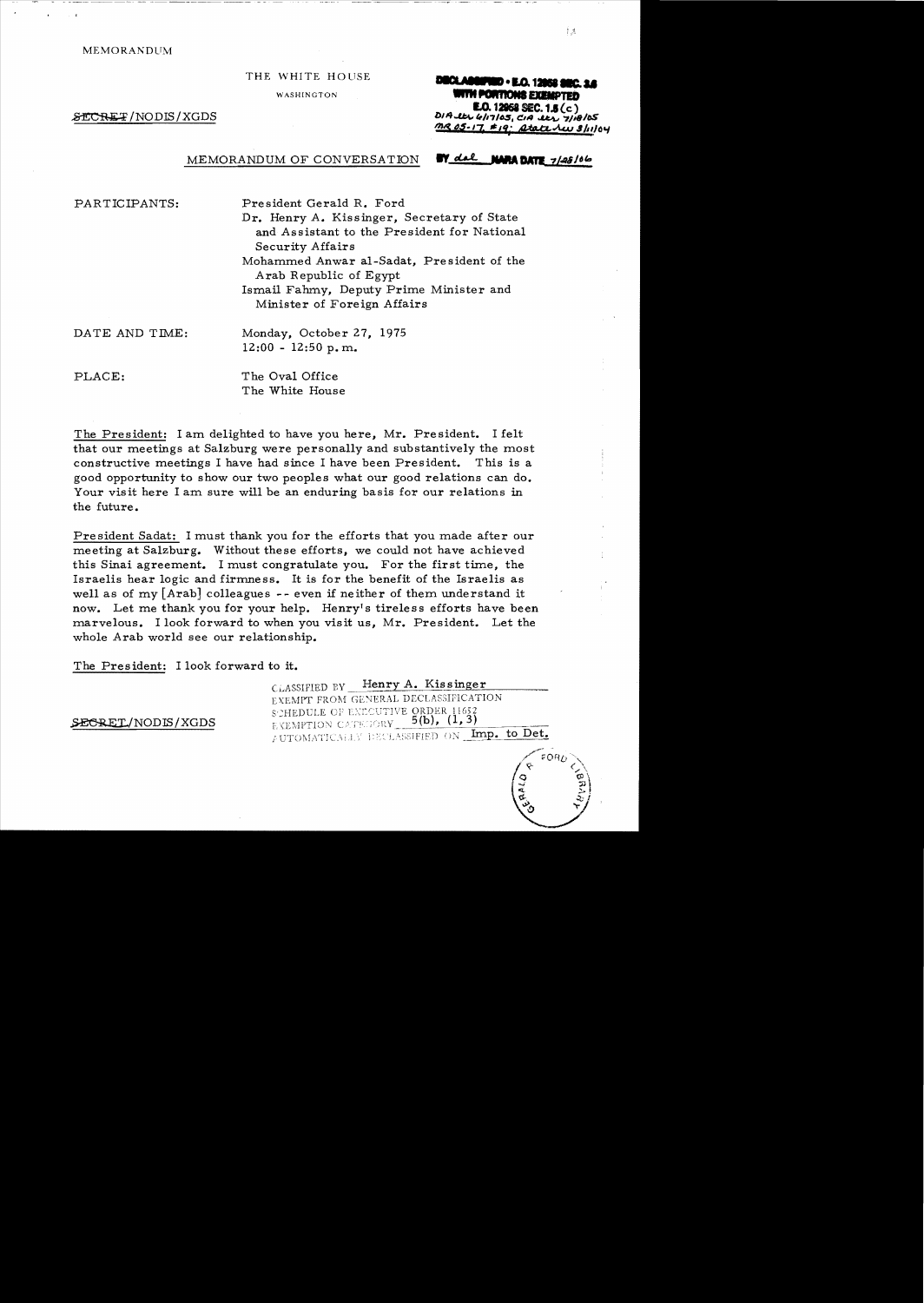MEMORANDUM

THE WHITE HOUSE

WASHINGTON

SECRET/NODIS/XGDS

DECLARGIFUND . E.O. 12858 SEC. 3.6 WITH PORTIONS EXEMPTED **E.O. 12058 SEC. 1.5 (c)**  $DIA$  les 6/17/05, CIA eur 7/18/05 MR 05-17 #19: Atate rev 3/11/04

BY del NARA DATE 7/28/06 MEMORANDUM OF CONVERSATION

PARTICIPANTS:

President Gerald R. Ford Dr. Henry A. Kissinger, Secretary of State and Assistant to the President for National Security Affairs Mohammed Anwar al-Sadat, President of the Arab Republic of Egypt Ismail Fahmy, Deputy Prime Minister and Minister of Foreign Affairs

DATE AND TIME:

Monday, October 27, 1975  $12:00 - 12:50 p.m.$ 

PLACE:

The Oval Office The White House

The President: I am delighted to have you here, Mr. President. I felt that our meetings at Salzburg were personally and substantively the most constructive meetings I have had since I have been President. This is a good opportunity to show our two peoples what our good relations can do. Your visit here I am sure will be an enduring basis for our relations in the future.

President Sadat: I must thank you for the efforts that you made after our meeting at Salzburg. Without these efforts, we could not have achieved this Sinai agreement. I must congratulate you. For the first time, the Israelis hear logic and firmness. It is for the benefit of the Israelis as well as of my  $[Arab]$  colleagues  $-$ - even if neither of them understand it now. Let me thank you for your help. Henry's tireless efforts have been marvelous. I look forward to when you visit us, Mr. President. Let the whole Arab world see our relationship.

The President: I look forward to it.

SEGRET/NODIS/XGDS

Henry A. Kissinger CLASSIFIED BY EXEMPT FROM GENERAL DECLASSIFICATION SCHEDULE OF EXECUTIVE ORDER 11622  $5(b), (1, 3)$ EXEMPTION CATEGORY AUTOMATICALLY DECLASSIFIED ON Imp. to Det.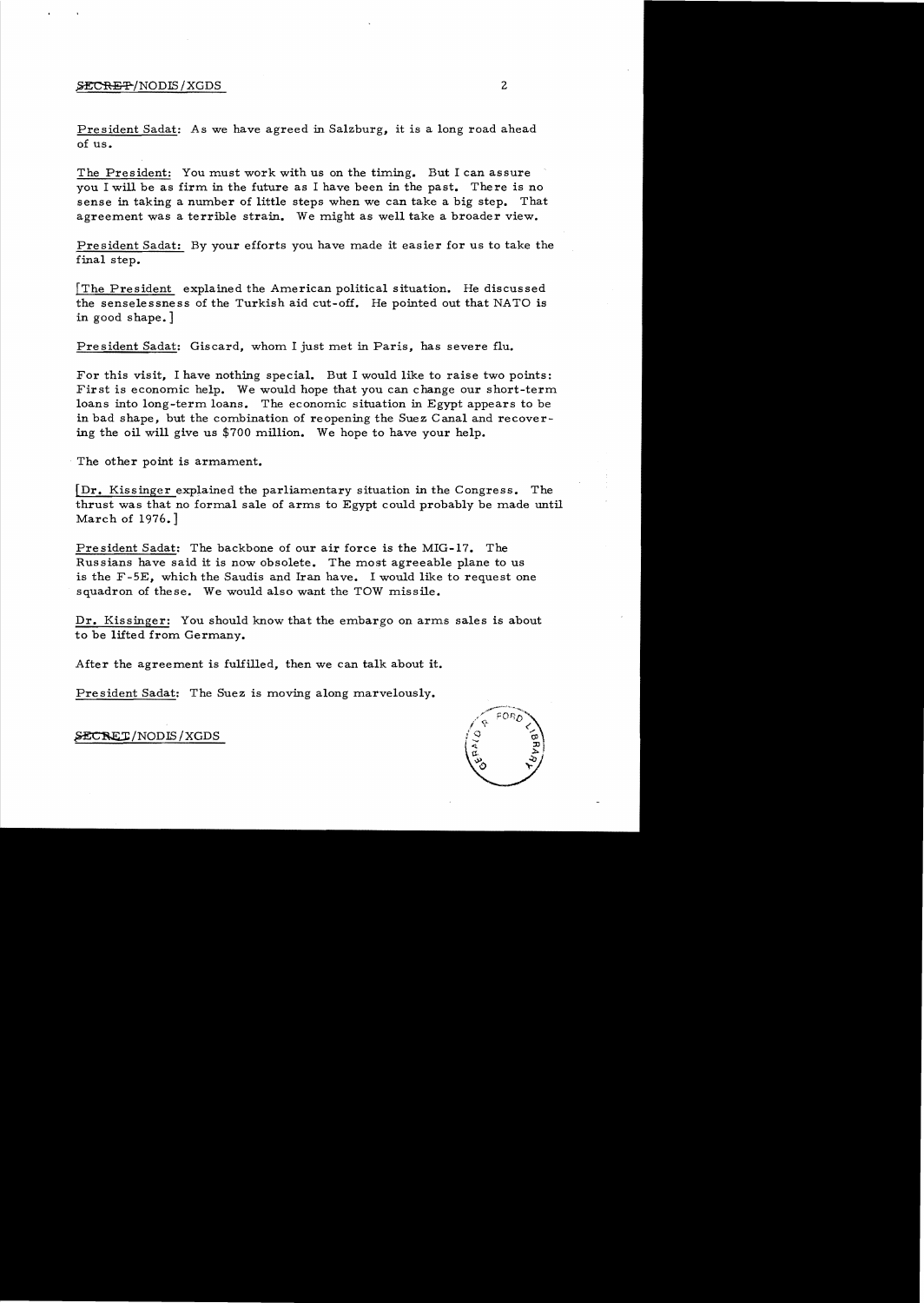## **EXCREP/NODIS/XGDS** 2

President Sadat: As we have agreed in Salzburg, it is a long road ahead of us.

The President: You must work with us on the timing. But I can assure you I will be as firm in the future as I have been in the past. There is no sense in taking a number of little steps when we can take a big step. That agreement was a terrible strain. We might as well take a broader view.

President Sadat: By your efforts you have made it easier for us to take the final step.

[The President explained the American political situation. He discussed the senselessness of the Turkish aid cut-off. He pointed out that NATO is in good shape.]

President Sadat: Giscard, whom I just met in Paris, has severe flu.

For this visit, I have nothing special. But I would like to raise two points: First is economic help. We would hope that you can change our short-term loans into long-term loans. The economic situation in Egypt appears to be in bad shape, but the combination of reopening the Suez Canal and recovering the oil will give us  $$700$  million. We hope to have your help.

. The other point is armament.

[Dr. Kissinger explained the parliamentary situation in the Congress. The thrust was that no formal sale of arms to Egypt could probably be made until March of 1976.]

Pre sident Sadat: The backbone of our air force is the MIG-17. The Russians have said it is now obsolete. The most agreeable plane to us is the  $F-5E$ , which the Saudis and Iran have. I would like to request one squadron of these. We would also want the TOW missile.

Dr. Kissinger: You should know that the embargo on arms sales is about to be lifted from Germany.

After the agreement is fulfilled, then we can talk about it.

President Sadat: The Suez is moving along marvelously.



SECRET/NODIS/XGDS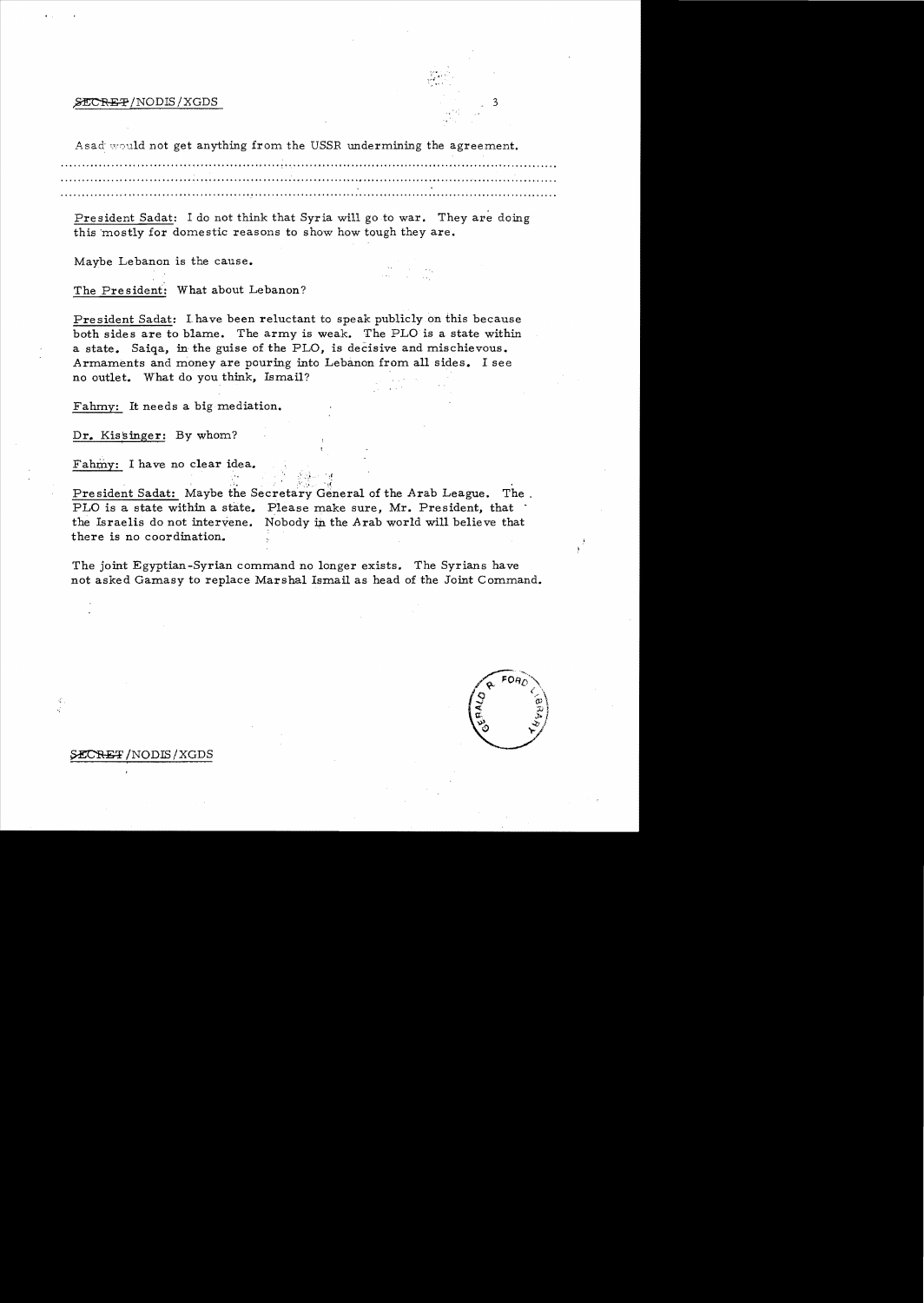#### $STCHE+ / NODIS / XGDS$

A sad would not get anything from the USSR undermining the agreement.

. . ., .... " " ...... " " .. ~ .. " ......... " .... " , .. " ........... ~ ............................................ " .......... , .............. .. 

President Sadat: I do not think that Syria will go to war. They are doing this 'mostly for domestic reasons to show how tough they are.

Maybe Lebanon is the cause.

The President: What about Lebanon?

President Sadat: 1 have been reluctant to speak publicly on this because both sides are to blame. The army is weak. The PLO is a state within a state. Saiqa, in the guise of the PLO, is decisive and mischievous. Armaments and money are pouring into Lebanon from all sides. I see no outlet. What do you think, Ismail?

Fahmy: It needs a big mediation.

Dr. Kissinger: By whom?

Fahmy: I have no clear idea.

 $\ddot{\gamma}$  ,  $\ddot{\gamma}$  ,  $\ddot{\gamma}$  ,  $\ddot{\gamma}$ President Sadat: Maybe the Secretary General of the Arab League. The. PLO is a state within a state. Please make sure, Mr. President, that the Israelis do not intervene. Nobody in the Arab world will believe that there is no coordination.

The joint Egyptian-Syrian command no longer exists. The Syrians have not asked Gamasy to replace Marshal Ismail as head of the Joint Command.



#### SECRET /NODIS/XGDS

 $\mathcal{L}$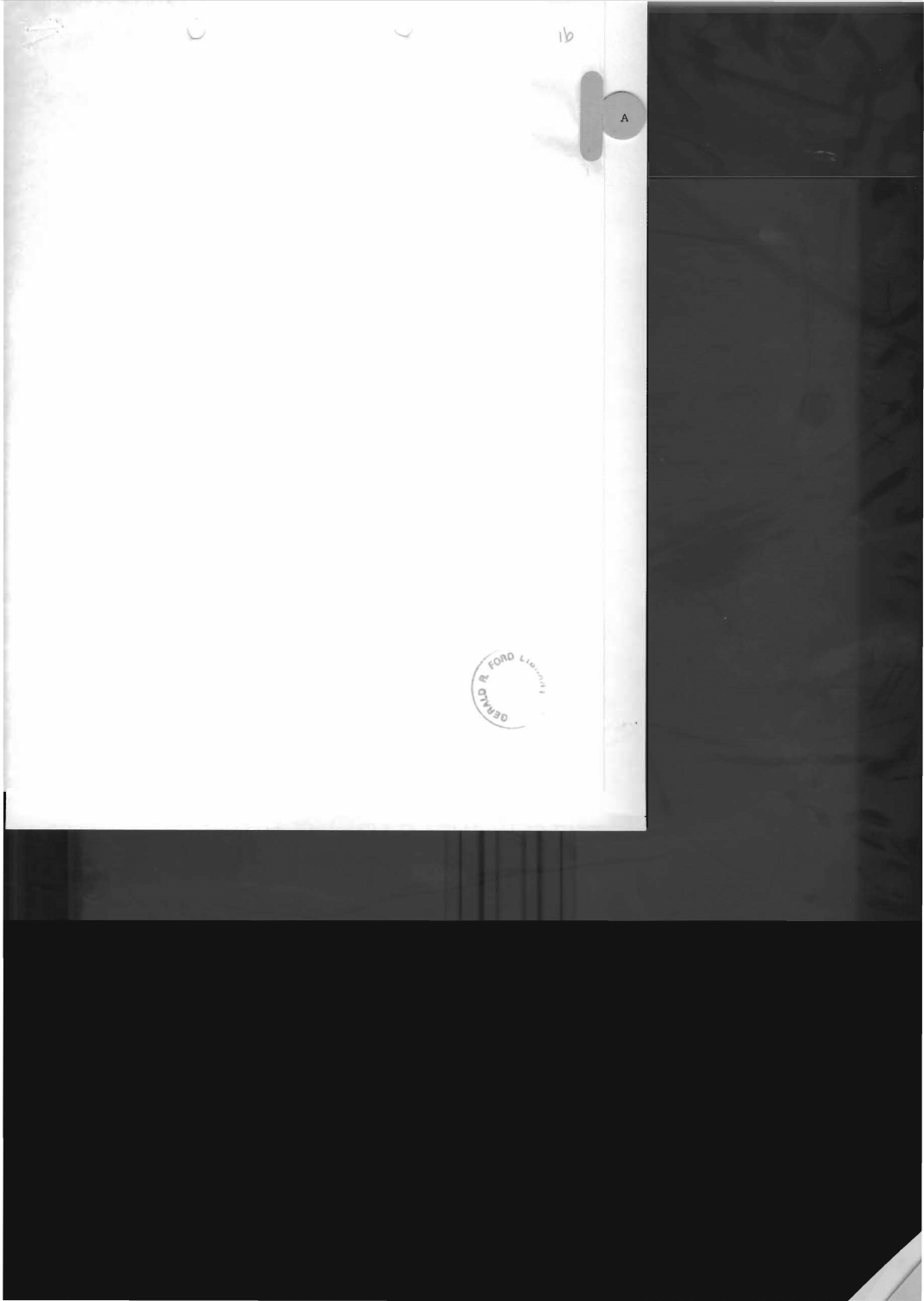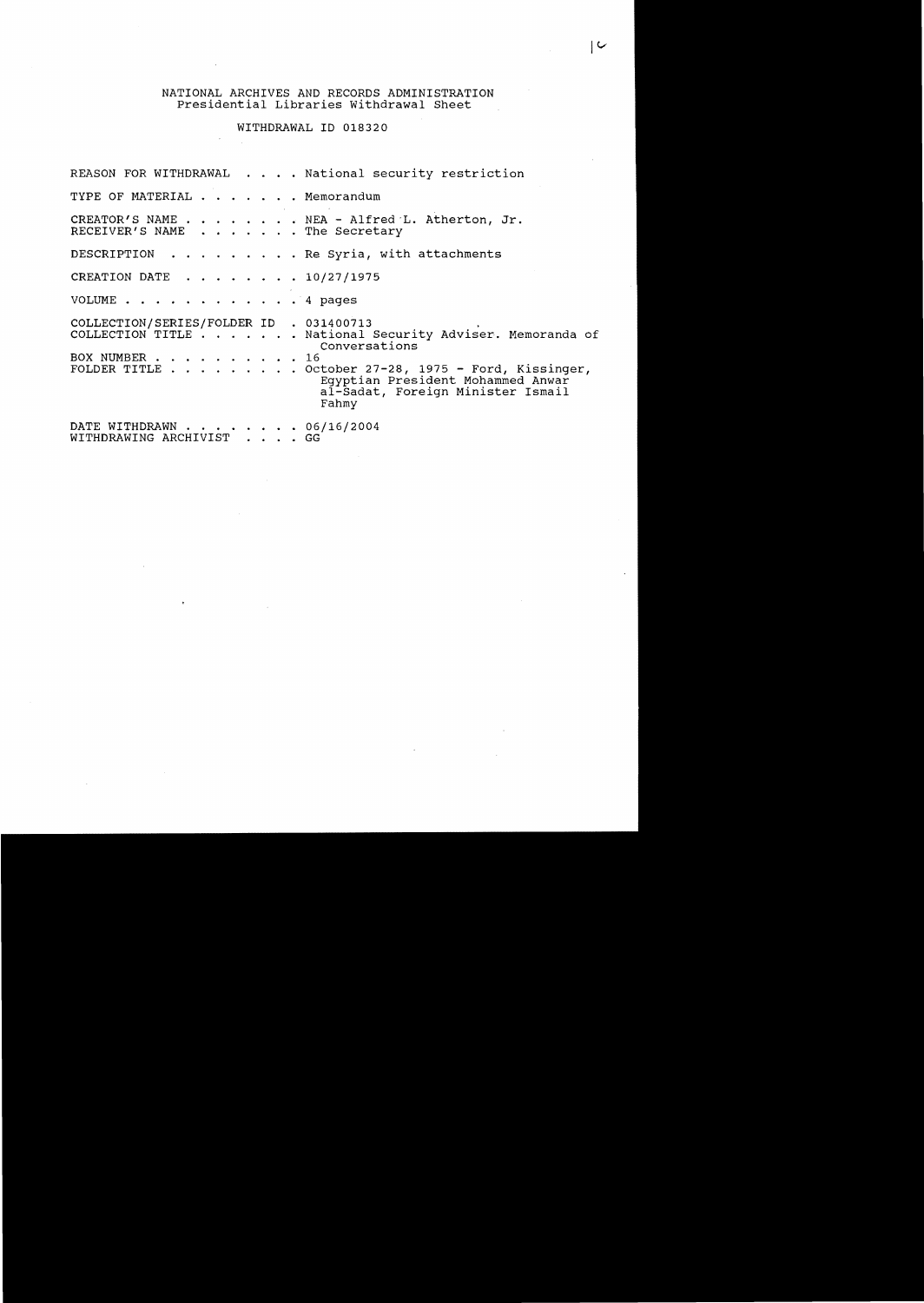# NATIONAL ARCHIVES AND RECORDS ADMINISTRATION Presidential Libraries withdrawal Sheet  $\sim 10$

# WITHDRAWAL ID 018320

 $\bar{z}$ 

 $\sim 10^7$ 

 $\sim 10$ 

|                                                                |  | REASON FOR WITHDRAWAL National security restriction                                                                                                                                                                 |
|----------------------------------------------------------------|--|---------------------------------------------------------------------------------------------------------------------------------------------------------------------------------------------------------------------|
| TYPE OF MATERIAL Memorandum                                    |  |                                                                                                                                                                                                                     |
| RECEIVER'S NAME The Secretary                                  |  | CREATOR'S NAME NEA - Alfred L. Atherton, Jr.                                                                                                                                                                        |
|                                                                |  | DESCRIPTION $\ldots$ Re Syria, with attachments                                                                                                                                                                     |
| CREATION DATE $\ldots$ $\ldots$ $\ldots$ $\frac{10}{27}{1975}$ |  |                                                                                                                                                                                                                     |
| VOLUME 4 pages                                                 |  |                                                                                                                                                                                                                     |
| COLLECTION/SERIES/FOLDER ID . 031400713<br>BOX NUMBER 16       |  | COLLECTION TITLE National Security Adviser. Memoranda of<br>Conversations<br>FOLDER TITLE October 27-28, 1975 - Ford, Kissinger,<br>Eqyptian President Mohammed Anwar<br>al-Sadat, Foreign Minister Ismail<br>Fahmy |
| DATE WITHDRAWN 06/16/2004<br>WITHDRAWING ARCHIVIST GG          |  |                                                                                                                                                                                                                     |

 $\overline{\mathcal{C}}$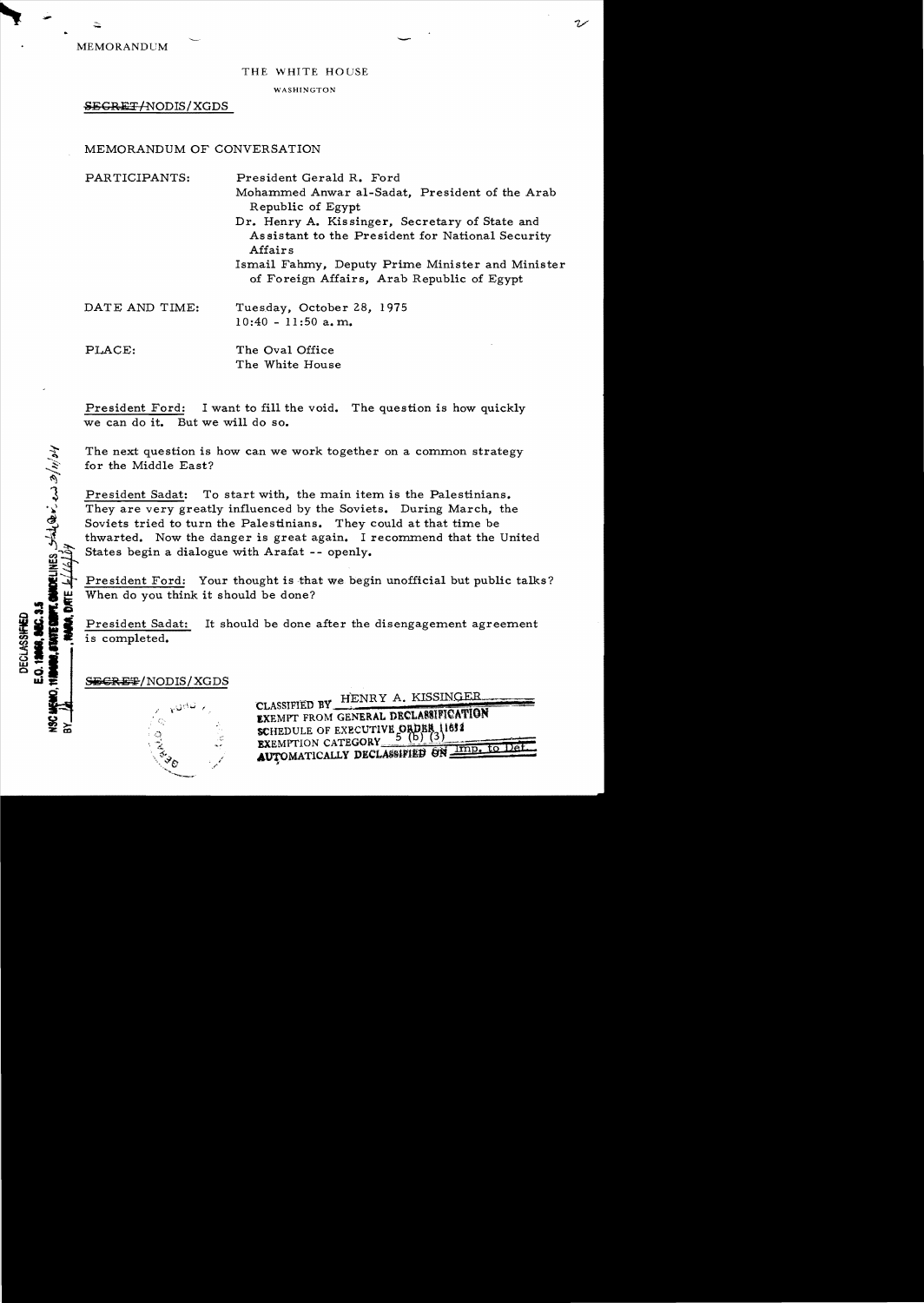$\frac{2}{\sqrt{2}}$ MEMORANDUM

#### THE WHITE HOUSE

WASHINGTON

### SEGRET/NODIS/XGDS

#### MEMORANDUM OF CONVERSATION

| PARTICIPANTS:  | President Gerald R. Ford<br>Mohammed Anwar al-Sadat, President of the Arab<br>Republic of Egypt<br>Dr. Henry A. Kissinger, Secretary of State and<br>Assistant to the President for National Security |  |  |  |  |
|----------------|-------------------------------------------------------------------------------------------------------------------------------------------------------------------------------------------------------|--|--|--|--|
|                | Affairs<br>Ismail Fahmy, Deputy Prime Minister and Minister<br>of Foreign Affairs, Arab Republic of Egypt                                                                                             |  |  |  |  |
| DATE AND TIME: | Tuesday, October 28, 1975<br>$10:40 - 11:50$ a.m.                                                                                                                                                     |  |  |  |  |
| PLACE:         | The Oval Office<br>The White House                                                                                                                                                                    |  |  |  |  |

President Ford: I want to fill the void. The question is how quickly we can do it. But we will do so.

The next question is how can we work together on a common strategy  $\geq$  for the Middle East?

President Sadat: To start with, the main item is the Palestinians. They are very greatly influenced by the Soviets. During March, the Soviets tried to turn the Palestinians. They could at that time be thwarted. Now the danger is great again. I recommend that the United States begin a dialogue with Arafat -- openly.

President Ford: Your thought is that we begin unofficial but public talks?<br>When do you think it should be done?

Q= President Sadat: The should be done after the disengagement agreement<br>
Second is completed.<br>
Conserved:<br>
Conserved: is completed.

# **SECRET/NODIS/XGDS**

~.  $\omega$ 

> CLASSIFIED BY HENRY A. KISSINGER EXEMPT FROM GENERAL DECLASSIFICATION SCHEDULE OF EXECUTIVE ORDER<br>EXEMPTION CATEGORY  $5~(b)~$ EXEMPTION CATEGORY.. : , .. \_.n' [p to AUTOMATICALLY DECLASSIFIED ON Imp. to Delle